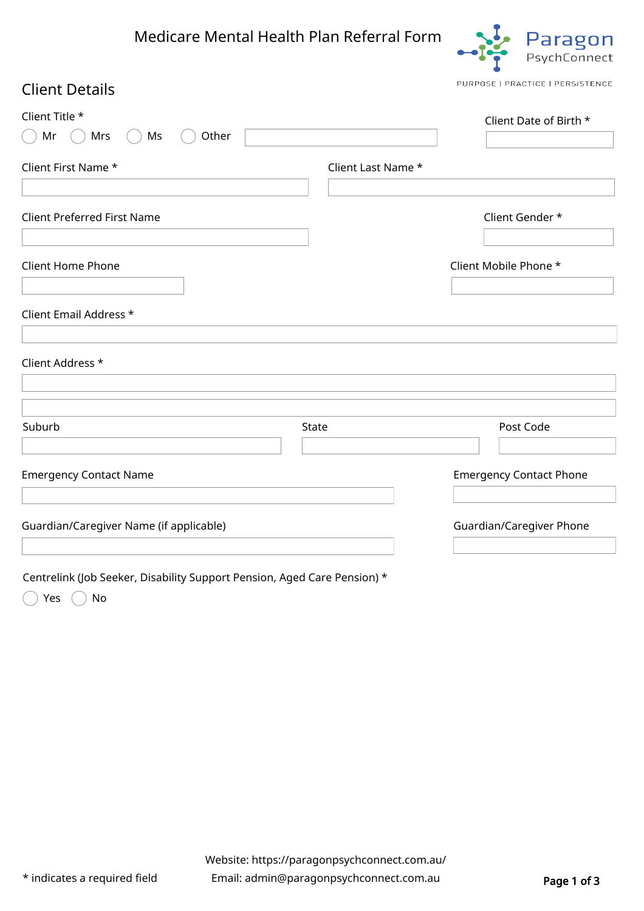## Medicare Mental Health Plan Referral Form



PURPOSE | PRACTICE | PERSISTENCE

## Client Title \*  $\bigcap$  Mr $\bigcap$  Mrs  $\bigcap$  Ms  $\bigcap$  Other Client Date of Birth \* Client First Name \* Client Last Name \* Client Address \* Client Home Phone Client Mobile Phone \* Client Email Address \* Suburb State Post Code Client Details Client Preferred First Name Client Gender \* Emergency Contact Name Emergency Contact Phone Guardian/Caregiver Name (if applicable) and the control of the Guardian/Caregiver Phone

Centrelink (Job Seeker, Disability Support Pension, Aged Care Pension) \*

 $\bigcap$  Yes  $\bigcap$  No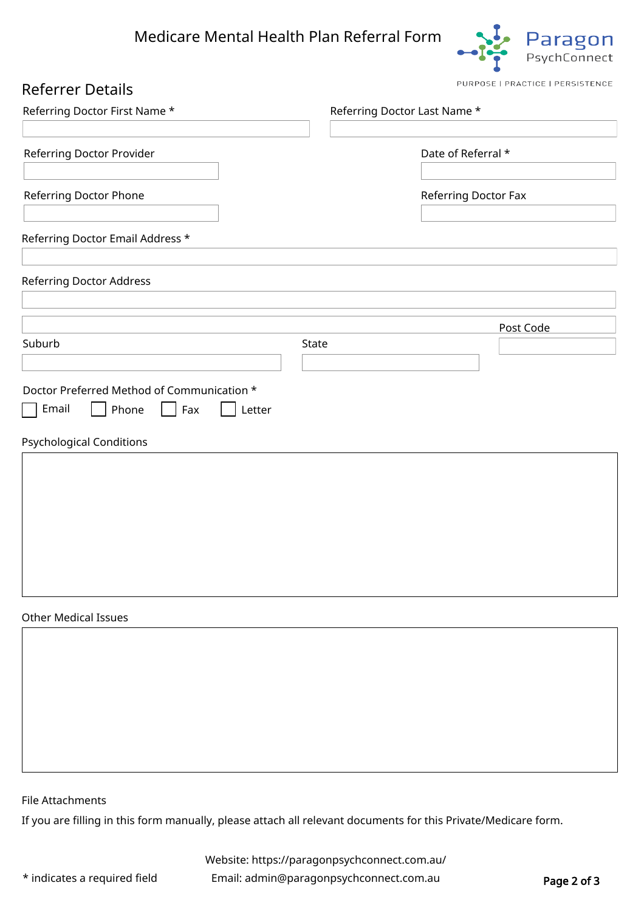

PURPOSE | PRACTICE | PERSISTENCE

| <b>Referrer Details</b> |
|-------------------------|
|-------------------------|

| Referring Doctor First Name *                                                                                        | Referring Doctor Last Name * |                      |           |
|----------------------------------------------------------------------------------------------------------------------|------------------------------|----------------------|-----------|
| Referring Doctor Provider                                                                                            |                              | Date of Referral *   |           |
| Referring Doctor Phone                                                                                               |                              | Referring Doctor Fax |           |
| Referring Doctor Email Address *                                                                                     |                              |                      |           |
| Referring Doctor Address                                                                                             |                              |                      |           |
|                                                                                                                      |                              |                      | Post Code |
| Suburb                                                                                                               | State                        |                      |           |
| Doctor Preferred Method of Communication *<br>Email<br>Phone<br>$ $ Fax<br>Letter<br><b>Psychological Conditions</b> |                              |                      |           |
|                                                                                                                      |                              |                      |           |
| <b>Other Medical Issues</b>                                                                                          |                              |                      |           |
|                                                                                                                      |                              |                      |           |

File Attachments

If you are filling in this form manually, please attach all relevant documents for this Private/Medicare form.

Website: <https://paragonpsychconnect.com.au/>